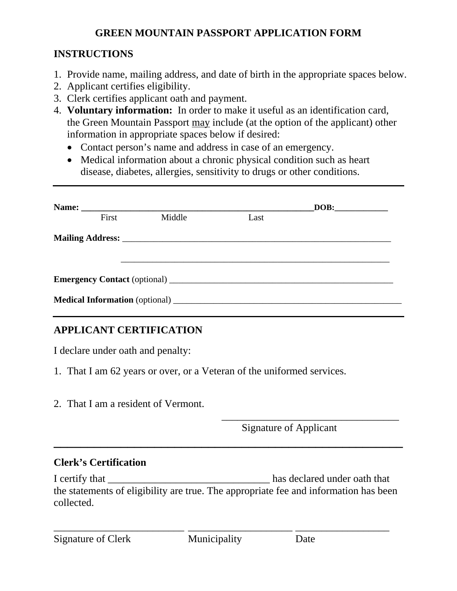### **GREEN MOUNTAIN PASSPORT APPLICATION FORM**

## **INSTRUCTIONS**

- 1. Provide name, mailing address, and date of birth in the appropriate spaces below.
- 2. Applicant certifies eligibility.
- 3. Clerk certifies applicant oath and payment.
- 4. **Voluntary information:** In order to make it useful as an identification card, the Green Mountain Passport may include (at the option of the applicant) other information in appropriate spaces below if desired:
	- Contact person's name and address in case of an emergency.
	- Medical information about a chronic physical condition such as heart disease, diabetes, allergies, sensitivity to drugs or other conditions.

|  |       |        |      | DOB: |
|--|-------|--------|------|------|
|  | First | Middle | Last |      |
|  |       |        |      |      |
|  |       |        |      |      |
|  |       |        |      |      |

# **APPLICANT CERTIFICATION**

I declare under oath and penalty:

- 1. That I am 62 years or over, or a Veteran of the uniformed services.
- 2. That I am a resident of Vermont.

Signature of Applicant

\_\_\_\_\_\_\_\_\_\_\_\_\_\_\_\_\_\_\_\_\_\_\_\_\_\_\_\_\_\_\_\_\_\_

## **Clerk's Certification**

I certify that **I** certify that the statements of eligibility are true. The appropriate fee and information has been collected.

**\_\_\_\_\_\_\_\_\_\_\_\_\_\_\_\_\_\_\_\_\_\_\_\_\_\_\_\_\_\_\_\_\_\_\_\_\_\_\_\_\_\_\_\_\_\_\_\_\_\_\_\_** 

\_\_\_\_\_\_\_\_\_\_\_\_\_\_\_\_\_\_\_\_\_\_\_\_\_ \_\_\_\_\_\_\_\_\_\_\_\_\_\_\_\_\_\_\_\_ \_\_\_\_\_\_\_\_\_\_\_\_\_\_\_\_\_\_